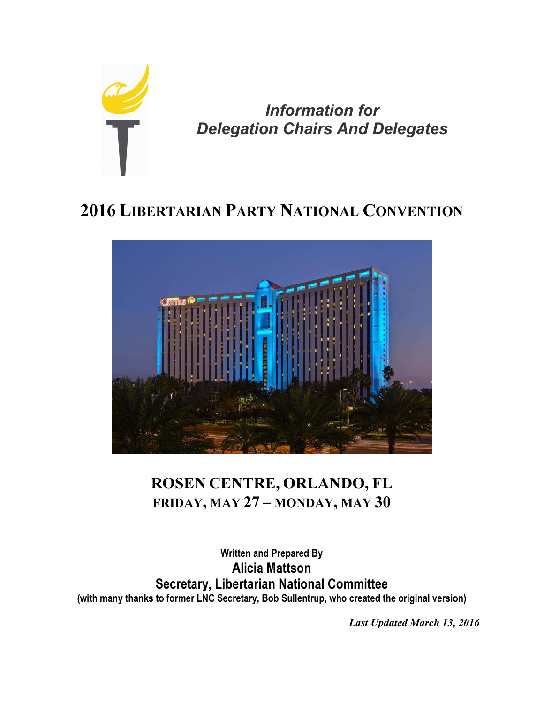

Information for Delegation Chairs And Delegates

# 2016 LIBERTARIAN PARTY NATIONAL CONVENTION



# ROSEN CENTRE, ORLANDO, FL FRIDAY, MAY 27 – MONDAY, MAY 30

# Written and Prepared By Alicia Mattson Secretary, Libertarian National Committee (with many thanks to former LNC Secretary, Bob Sullentrup, who created the original version)

Last Updated March 13, 2016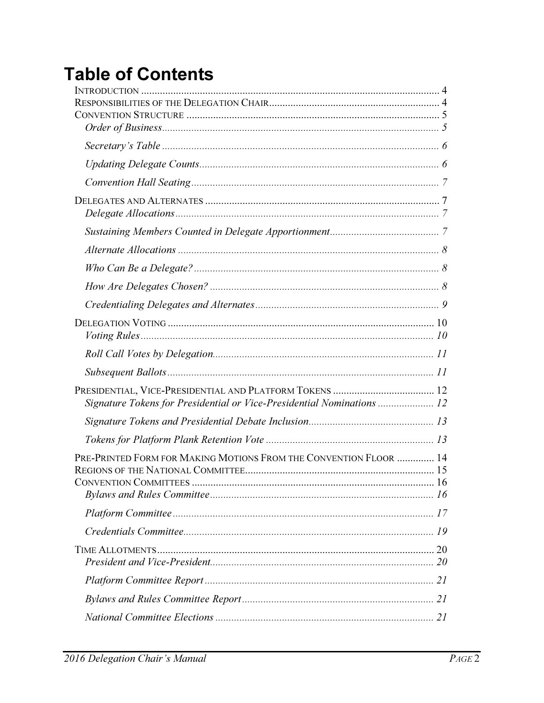# **Table of Contents**

| Signature Tokens for Presidential or Vice-Presidential Nominations  12 |  |
|------------------------------------------------------------------------|--|
|                                                                        |  |
|                                                                        |  |
| PRE-PRINTED FORM FOR MAKING MOTIONS FROM THE CONVENTION FLOOR  14      |  |
|                                                                        |  |
|                                                                        |  |
|                                                                        |  |
|                                                                        |  |
|                                                                        |  |
|                                                                        |  |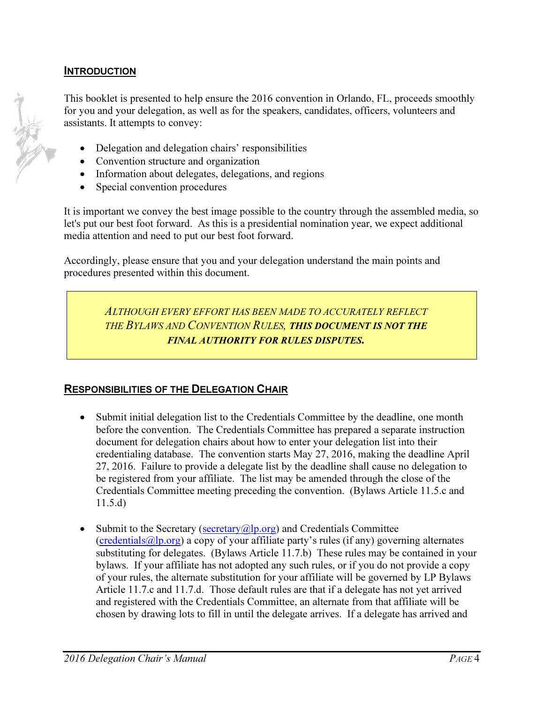#### **INTRODUCTION**

This booklet is presented to help ensure the 2016 convention in Orlando, FL, proceeds smoothly for you and your delegation, as well as for the speakers, candidates, officers, volunteers and assistants. It attempts to convey:

- Delegation and delegation chairs' responsibilities
- Convention structure and organization
- Information about delegates, delegations, and regions
- Special convention procedures

It is important we convey the best image possible to the country through the assembled media, so let's put our best foot forward. As this is a presidential nomination year, we expect additional media attention and need to put our best foot forward.

Accordingly, please ensure that you and your delegation understand the main points and procedures presented within this document.

> ALTHOUGH EVERY EFFORT HAS BEEN MADE TO ACCURATELY REFLECT THE BYLAWS AND CONVENTION RULES, THIS DOCUMENT IS NOT THE FINAL AUTHORITY FOR RULES DISPUTES.

#### RESPONSIBILITIES OF THE DELEGATION CHAIR

- Submit initial delegation list to the Credentials Committee by the deadline, one month before the convention. The Credentials Committee has prepared a separate instruction document for delegation chairs about how to enter your delegation list into their credentialing database. The convention starts May 27, 2016, making the deadline April 27, 2016. Failure to provide a delegate list by the deadline shall cause no delegation to be registered from your affiliate. The list may be amended through the close of the Credentials Committee meeting preceding the convention. (Bylaws Article 11.5.c and 11.5.d)
- Submit to the Secretary ( $\frac{\text{secretary}(a) \cdot \text{p.org}}{\text{p.org}}$ ) and Credentials Committee  $({\rm credentials@lp.org})$  a copy of your affiliate party's rules (if any) governing alternates substituting for delegates. (Bylaws Article 11.7.b) These rules may be contained in your bylaws. If your affiliate has not adopted any such rules, or if you do not provide a copy of your rules, the alternate substitution for your affiliate will be governed by LP Bylaws Article 11.7.c and 11.7.d. Those default rules are that if a delegate has not yet arrived and registered with the Credentials Committee, an alternate from that affiliate will be chosen by drawing lots to fill in until the delegate arrives. If a delegate has arrived and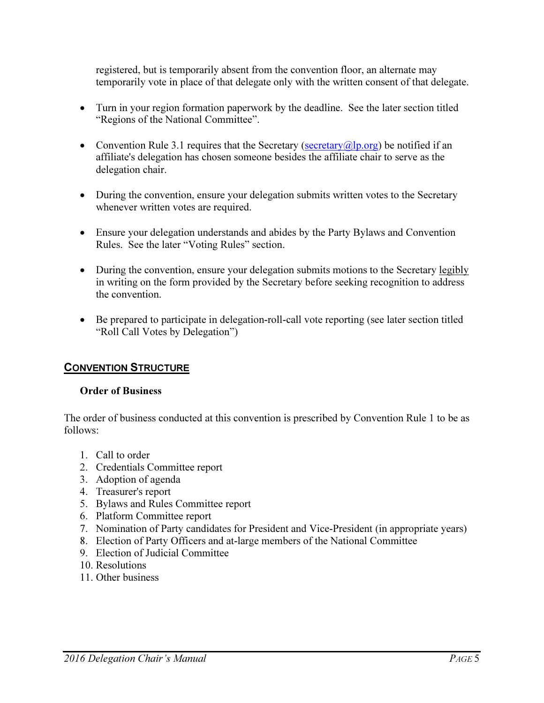registered, but is temporarily absent from the convention floor, an alternate may temporarily vote in place of that delegate only with the written consent of that delegate.

- Turn in your region formation paperwork by the deadline. See the later section titled "Regions of the National Committee".
- Convention Rule 3.1 requires that the Secretary (secretary  $(a|p.org)$  be notified if an affiliate's delegation has chosen someone besides the affiliate chair to serve as the delegation chair.
- During the convention, ensure your delegation submits written votes to the Secretary whenever written votes are required.
- Ensure your delegation understands and abides by the Party Bylaws and Convention Rules. See the later "Voting Rules" section.
- During the convention, ensure your delegation submits motions to the Secretary legibly in writing on the form provided by the Secretary before seeking recognition to address the convention.
- Be prepared to participate in delegation-roll-call vote reporting (see later section titled "Roll Call Votes by Delegation")

# CONVENTION STRUCTURE

## Order of Business

The order of business conducted at this convention is prescribed by Convention Rule 1 to be as follows:

- 1. Call to order
- 2. Credentials Committee report
- 3. Adoption of agenda
- 4. Treasurer's report
- 5. Bylaws and Rules Committee report
- 6. Platform Committee report
- 7. Nomination of Party candidates for President and Vice-President (in appropriate years)
- 8. Election of Party Officers and at-large members of the National Committee
- 9. Election of Judicial Committee
- 10. Resolutions
- 11. Other business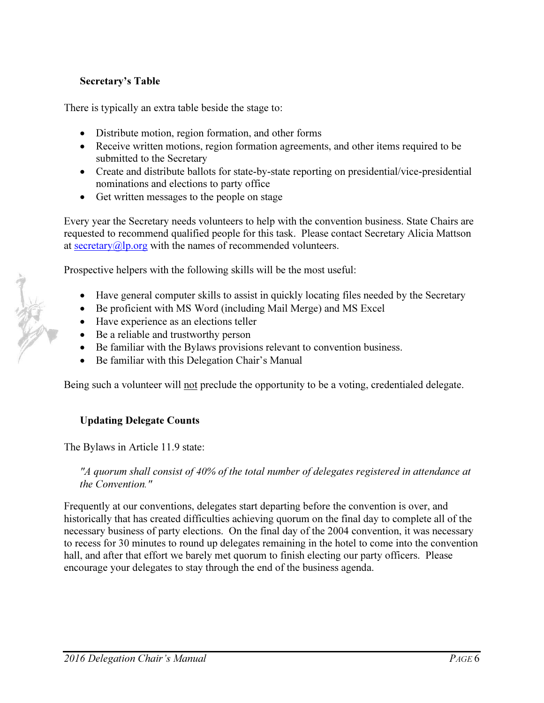## Secretary's Table

There is typically an extra table beside the stage to:

- Distribute motion, region formation, and other forms
- Receive written motions, region formation agreements, and other items required to be submitted to the Secretary
- Create and distribute ballots for state-by-state reporting on presidential/vice-presidential nominations and elections to party office
- Get written messages to the people on stage

Every year the Secretary needs volunteers to help with the convention business. State Chairs are requested to recommend qualified people for this task. Please contact Secretary Alicia Mattson at secretary $@$ lp.org with the names of recommended volunteers.

Prospective helpers with the following skills will be the most useful:

- Have general computer skills to assist in quickly locating files needed by the Secretary
- Be proficient with MS Word (including Mail Merge) and MS Excel
- Have experience as an elections teller
- Be a reliable and trustworthy person
- Be familiar with the Bylaws provisions relevant to convention business.
- Be familiar with this Delegation Chair's Manual

Being such a volunteer will not preclude the opportunity to be a voting, credentialed delegate.

#### Updating Delegate Counts

The Bylaws in Article 11.9 state:

*"A quorum shall consist of 40% of the total number of delegates registered in attendance at the Convention."* 

Frequently at our conventions, delegates start departing before the convention is over, and historically that has created difficulties achieving quorum on the final day to complete all of the necessary business of party elections. On the final day of the 2004 convention, it was necessary to recess for 30 minutes to round up delegates remaining in the hotel to come into the convention hall, and after that effort we barely met quorum to finish electing our party officers. Please encourage your delegates to stay through the end of the business agenda.

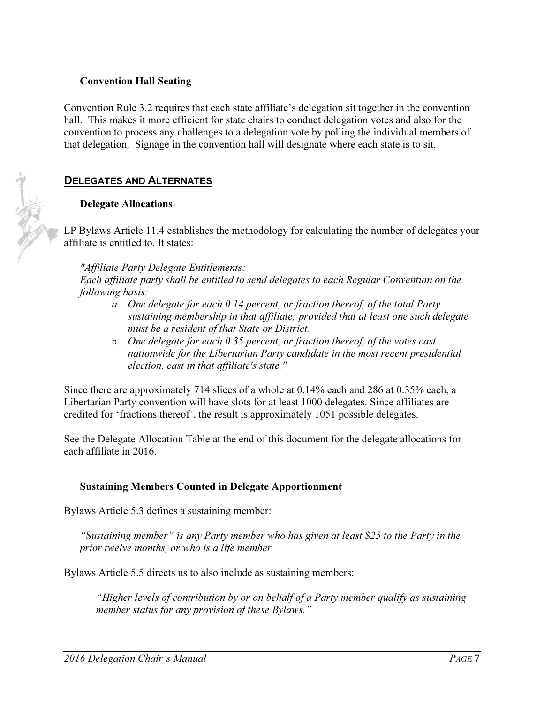#### Convention Hall Seating

Convention Rule 3.2 requires that each state affiliate's delegation sit together in the convention hall. This makes it more efficient for state chairs to conduct delegation votes and also for the convention to process any challenges to a delegation vote by polling the individual members of that delegation. Signage in the convention hall will designate where each state is to sit.

#### DELEGATES AND ALTERNATES

#### Delegate Allocations

LP Bylaws Article 11.4 establishes the methodology for calculating the number of delegates your affiliate is entitled to. It states:

*"Affiliate Party Delegate Entitlements:* 

*Each affiliate party shall be entitled to send delegates to each Regular Convention on the following basis:* 

- *a. One delegate for each 0.14 percent, or fraction thereof, of the total Party sustaining membership in that affiliate; provided that at least one such delegate must be a resident of that State or District.*
- b. *One delegate for each 0.35 percent, or fraction thereof, of the votes cast nationwide for the Libertarian Party candidate in the most recent presidential election, cast in that affiliate's state."*

Since there are approximately 714 slices of a whole at 0.14% each and 286 at 0.35% each, a Libertarian Party convention will have slots for at least 1000 delegates. Since affiliates are credited for 'fractions thereof', the result is approximately 1051 possible delegates.

See the Delegate Allocation Table at the end of this document for the delegate allocations for each affiliate in 2016.

#### Sustaining Members Counted in Delegate Apportionment

Bylaws Article 5.3 defines a sustaining member:

*"Sustaining member" is any Party member who has given at least \$25 to the Party in the prior twelve months, or who is a life member.* 

Bylaws Article 5.5 directs us to also include as sustaining members:

*"Higher levels of contribution by or on behalf of a Party member qualify as sustaining member status for any provision of these Bylaws."* 

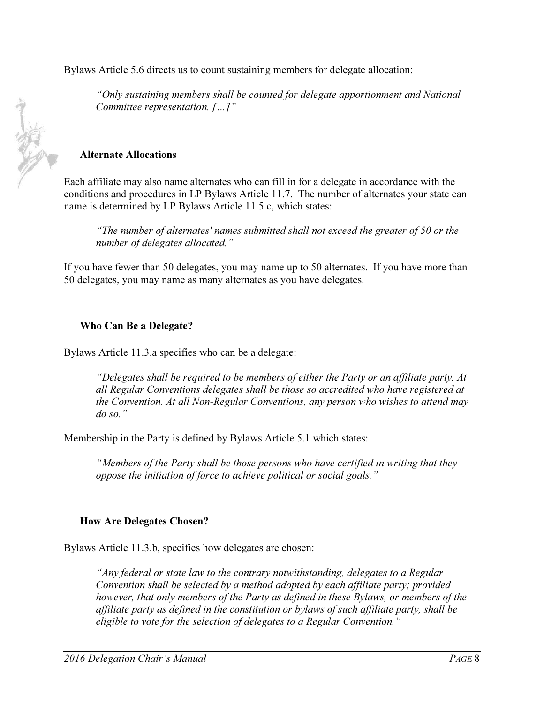Bylaws Article 5.6 directs us to count sustaining members for delegate allocation:

*"Only sustaining members shall be counted for delegate apportionment and National Committee representation. […]"* 

#### Alternate Allocations

Each affiliate may also name alternates who can fill in for a delegate in accordance with the conditions and procedures in LP Bylaws Article 11.7. The number of alternates your state can name is determined by LP Bylaws Article 11.5.c, which states:

*"The number of alternates' names submitted shall not exceed the greater of 50 or the number of delegates allocated."* 

If you have fewer than 50 delegates, you may name up to 50 alternates. If you have more than 50 delegates, you may name as many alternates as you have delegates.

#### Who Can Be a Delegate?

Bylaws Article 11.3.a specifies who can be a delegate:

*"Delegates shall be required to be members of either the Party or an affiliate party. At all Regular Conventions delegates shall be those so accredited who have registered at the Convention. At all Non-Regular Conventions, any person who wishes to attend may do so."* 

Membership in the Party is defined by Bylaws Article 5.1 which states:

*"Members of the Party shall be those persons who have certified in writing that they oppose the initiation of force to achieve political or social goals."* 

#### How Are Delegates Chosen?

Bylaws Article 11.3.b, specifies how delegates are chosen:

*"Any federal or state law to the contrary notwithstanding, delegates to a Regular Convention shall be selected by a method adopted by each affiliate party; provided however, that only members of the Party as defined in these Bylaws, or members of the affiliate party as defined in the constitution or bylaws of such affiliate party, shall be eligible to vote for the selection of delegates to a Regular Convention."* 

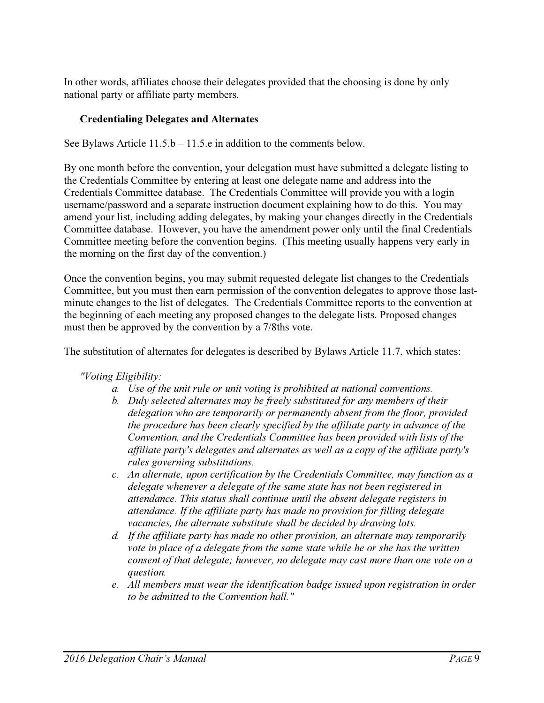In other words, affiliates choose their delegates provided that the choosing is done by only national party or affiliate party members.

# Credentialing Delegates and Alternates

See Bylaws Article 11.5.b – 11.5.e in addition to the comments below.

By one month before the convention, your delegation must have submitted a delegate listing to the Credentials Committee by entering at least one delegate name and address into the Credentials Committee database. The Credentials Committee will provide you with a login username/password and a separate instruction document explaining how to do this. You may amend your list, including adding delegates, by making your changes directly in the Credentials Committee database. However, you have the amendment power only until the final Credentials Committee meeting before the convention begins. (This meeting usually happens very early in the morning on the first day of the convention.)

Once the convention begins, you may submit requested delegate list changes to the Credentials Committee, but you must then earn permission of the convention delegates to approve those lastminute changes to the list of delegates. The Credentials Committee reports to the convention at the beginning of each meeting any proposed changes to the delegate lists. Proposed changes must then be approved by the convention by a 7/8ths vote.

The substitution of alternates for delegates is described by Bylaws Article 11.7, which states:

*"Voting Eligibility:* 

- *a. Use of the unit rule or unit voting is prohibited at national conventions.*
- *b. Duly selected alternates may be freely substituted for any members of their delegation who are temporarily or permanently absent from the floor, provided the procedure has been clearly specified by the affiliate party in advance of the Convention, and the Credentials Committee has been provided with lists of the affiliate party's delegates and alternates as well as a copy of the affiliate party's rules governing substitutions.*
- *c. An alternate, upon certification by the Credentials Committee, may function as a delegate whenever a delegate of the same state has not been registered in attendance. This status shall continue until the absent delegate registers in attendance. If the affiliate party has made no provision for filling delegate vacancies, the alternate substitute shall be decided by drawing lots.*
- *d. If the affiliate party has made no other provision, an alternate may temporarily vote in place of a delegate from the same state while he or she has the written consent of that delegate; however, no delegate may cast more than one vote on a question.*
- *e. All members must wear the identification badge issued upon registration in order to be admitted to the Convention hall."*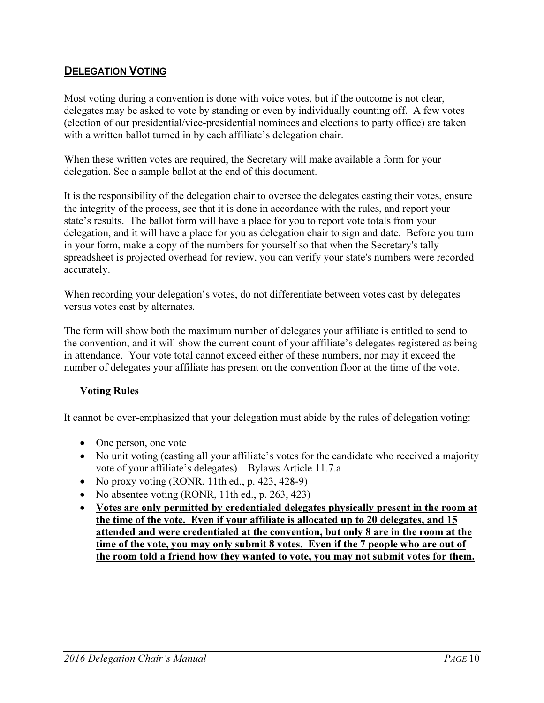# **DELEGATION VOTING**

Most voting during a convention is done with voice votes, but if the outcome is not clear, delegates may be asked to vote by standing or even by individually counting off. A few votes (election of our presidential/vice-presidential nominees and elections to party office) are taken with a written ballot turned in by each affiliate's delegation chair.

When these written votes are required, the Secretary will make available a form for your delegation. See a sample ballot at the end of this document.

It is the responsibility of the delegation chair to oversee the delegates casting their votes, ensure the integrity of the process, see that it is done in accordance with the rules, and report your state's results. The ballot form will have a place for you to report vote totals from your delegation, and it will have a place for you as delegation chair to sign and date. Before you turn in your form, make a copy of the numbers for yourself so that when the Secretary's tally spreadsheet is projected overhead for review, you can verify your state's numbers were recorded accurately.

When recording your delegation's votes, do not differentiate between votes cast by delegates versus votes cast by alternates.

The form will show both the maximum number of delegates your affiliate is entitled to send to the convention, and it will show the current count of your affiliate's delegates registered as being in attendance. Your vote total cannot exceed either of these numbers, nor may it exceed the number of delegates your affiliate has present on the convention floor at the time of the vote.

## Voting Rules

It cannot be over-emphasized that your delegation must abide by the rules of delegation voting:

- One person, one vote
- No unit voting (casting all your affiliate's votes for the candidate who received a majority vote of your affiliate's delegates) – Bylaws Article 11.7.a
- No proxy voting  $(RONR, 11th ed., p. 423, 428-9)$
- No absentee voting (RONR, 11th ed., p. 263, 423)
- Votes are only permitted by credentialed delegates physically present in the room at the time of the vote. Even if your affiliate is allocated up to 20 delegates, and 15 attended and were credentialed at the convention, but only 8 are in the room at the time of the vote, you may only submit 8 votes. Even if the 7 people who are out of the room told a friend how they wanted to vote, you may not submit votes for them.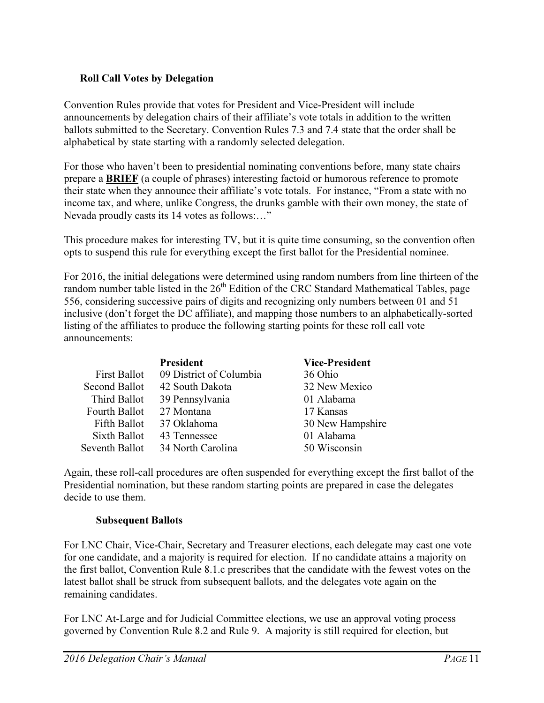## Roll Call Votes by Delegation

Convention Rules provide that votes for President and Vice-President will include announcements by delegation chairs of their affiliate's vote totals in addition to the written ballots submitted to the Secretary. Convention Rules 7.3 and 7.4 state that the order shall be alphabetical by state starting with a randomly selected delegation.

For those who haven't been to presidential nominating conventions before, many state chairs prepare a BRIEF (a couple of phrases) interesting factoid or humorous reference to promote their state when they announce their affiliate's vote totals. For instance, "From a state with no income tax, and where, unlike Congress, the drunks gamble with their own money, the state of Nevada proudly casts its 14 votes as follows:…"

This procedure makes for interesting TV, but it is quite time consuming, so the convention often opts to suspend this rule for everything except the first ballot for the Presidential nominee.

For 2016, the initial delegations were determined using random numbers from line thirteen of the random number table listed in the 26<sup>th</sup> Edition of the CRC Standard Mathematical Tables, page 556, considering successive pairs of digits and recognizing only numbers between 01 and 51 inclusive (don't forget the DC affiliate), and mapping those numbers to an alphabetically-sorted listing of the affiliates to produce the following starting points for these roll call vote announcements:

|                     | President               | <b>Vice-President</b> |
|---------------------|-------------------------|-----------------------|
| <b>First Ballot</b> | 09 District of Columbia | 36 Ohio               |
| Second Ballot       | 42 South Dakota         | 32 New Mexico         |
| Third Ballot        | 39 Pennsylvania         | 01 Alabama            |
| Fourth Ballot       | 27 Montana              | 17 Kansas             |
| Fifth Ballot        | 37 Oklahoma             | 30 New Hampshire      |
| Sixth Ballot        | 43 Tennessee            | 01 Alabama            |
| Seventh Ballot      | 34 North Carolina       | 50 Wisconsin          |

Again, these roll-call procedures are often suspended for everything except the first ballot of the Presidential nomination, but these random starting points are prepared in case the delegates decide to use them.

## Subsequent Ballots

For LNC Chair, Vice-Chair, Secretary and Treasurer elections, each delegate may cast one vote for one candidate, and a majority is required for election. If no candidate attains a majority on the first ballot, Convention Rule 8.1.c prescribes that the candidate with the fewest votes on the latest ballot shall be struck from subsequent ballots, and the delegates vote again on the remaining candidates.

For LNC At-Large and for Judicial Committee elections, we use an approval voting process governed by Convention Rule 8.2 and Rule 9. A majority is still required for election, but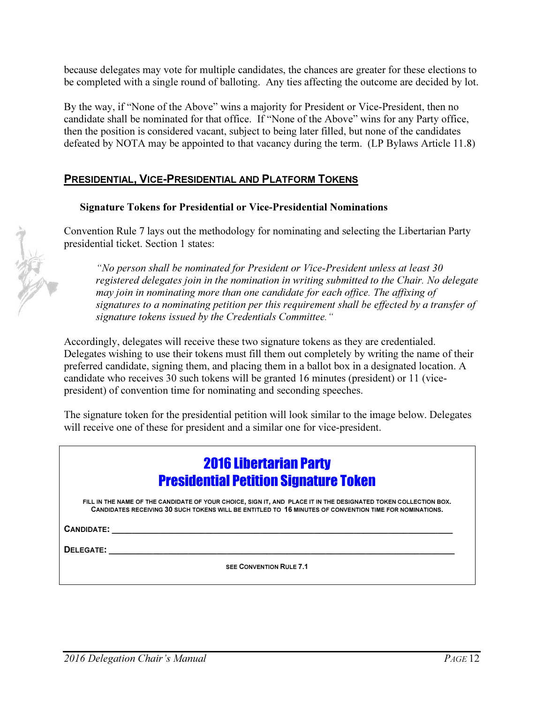because delegates may vote for multiple candidates, the chances are greater for these elections to be completed with a single round of balloting. Any ties affecting the outcome are decided by lot.

By the way, if "None of the Above" wins a majority for President or Vice-President, then no candidate shall be nominated for that office. If "None of the Above" wins for any Party office, then the position is considered vacant, subject to being later filled, but none of the candidates defeated by NOTA may be appointed to that vacancy during the term. (LP Bylaws Article 11.8)

# PRESIDENTIAL, VICE-PRESIDENTIAL AND PLATFORM TOKENS

#### Signature Tokens for Presidential or Vice-Presidential Nominations

Convention Rule 7 lays out the methodology for nominating and selecting the Libertarian Party presidential ticket. Section 1 states:

*"No person shall be nominated for President or Vice-President unless at least 30 registered delegates join in the nomination in writing submitted to the Chair. No delegate may join in nominating more than one candidate for each office. The affixing of signatures to a nominating petition per this requirement shall be effected by a transfer of signature tokens issued by the Credentials Committee."* 

Accordingly, delegates will receive these two signature tokens as they are credentialed. Delegates wishing to use their tokens must fill them out completely by writing the name of their preferred candidate, signing them, and placing them in a ballot box in a designated location. A candidate who receives 30 such tokens will be granted 16 minutes (president) or 11 (vicepresident) of convention time for nominating and seconding speeches.

The signature token for the presidential petition will look similar to the image below. Delegates will receive one of these for president and a similar one for vice-president.

# 2016 Libertarian Party Presidential Petition Signature Token

FILL IN THE NAME OF THE CANDIDATE OF YOUR CHOICE, SIGN IT, AND PLACE IT IN THE DESIGNATED TOKEN COLLECTION BOX. CANDIDATES RECEIVING 30 SUCH TOKENS WILL BE ENTITLED TO 16 MINUTES OF CONVENTION TIME FOR NOMINATIONS.

CANDIDATE:

DELEGATE:

SEE CONVENTION RULE 7.1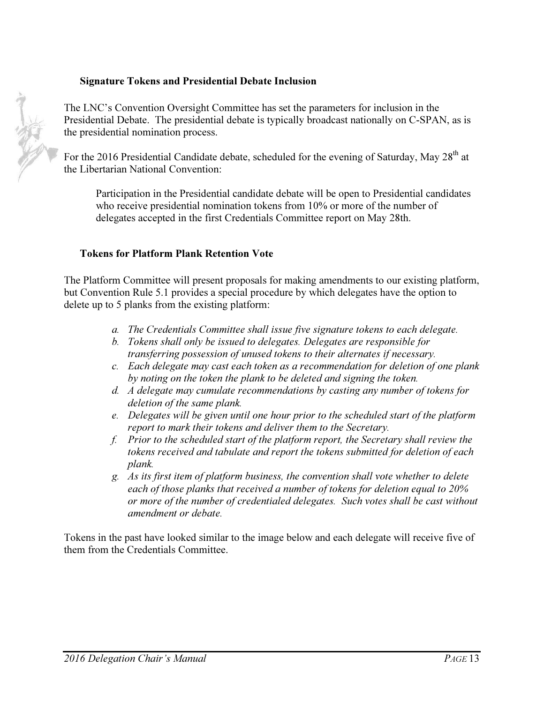#### Signature Tokens and Presidential Debate Inclusion

The LNC's Convention Oversight Committee has set the parameters for inclusion in the Presidential Debate. The presidential debate is typically broadcast nationally on C-SPAN, as is the presidential nomination process.

For the 2016 Presidential Candidate debate, scheduled for the evening of Saturday, May 28<sup>th</sup> at the Libertarian National Convention:

Participation in the Presidential candidate debate will be open to Presidential candidates who receive presidential nomination tokens from 10% or more of the number of delegates accepted in the first Credentials Committee report on May 28th.

#### Tokens for Platform Plank Retention Vote

The Platform Committee will present proposals for making amendments to our existing platform, but Convention Rule 5.1 provides a special procedure by which delegates have the option to delete up to 5 planks from the existing platform:

- *a. The Credentials Committee shall issue five signature tokens to each delegate.*
- *b. Tokens shall only be issued to delegates. Delegates are responsible for transferring possession of unused tokens to their alternates if necessary.*
- *c. Each delegate may cast each token as a recommendation for deletion of one plank by noting on the token the plank to be deleted and signing the token.*
- *d. A delegate may cumulate recommendations by casting any number of tokens for deletion of the same plank.*
- *e. Delegates will be given until one hour prior to the scheduled start of the platform report to mark their tokens and deliver them to the Secretary.*
- *f. Prior to the scheduled start of the platform report, the Secretary shall review the tokens received and tabulate and report the tokens submitted for deletion of each plank.*
- *g. As its first item of platform business, the convention shall vote whether to delete each of those planks that received a number of tokens for deletion equal to 20% or more of the number of credentialed delegates. Such votes shall be cast without amendment or debate.*

Tokens in the past have looked similar to the image below and each delegate will receive five of them from the Credentials Committee.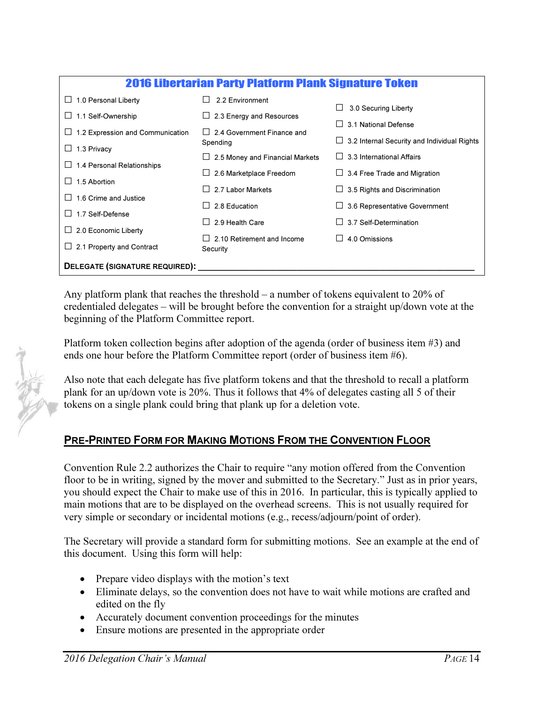| <b>2016 Libertarian Party Platform Plank Signature Token</b> |                                        |                                             |
|--------------------------------------------------------------|----------------------------------------|---------------------------------------------|
| 1.0 Personal Liberty                                         | 2.2 Environment                        | 3.0 Securing Liberty                        |
| 1.1 Self-Ownership                                           | 2.3 Energy and Resources               | 3.1 National Defense                        |
| 1.2 Expression and Communication                             | 2.4 Government Finance and             |                                             |
| 1.3 Privacy                                                  | Spending                               | 3.2 Internal Security and Individual Rights |
|                                                              | $\Box$ 2.5 Money and Financial Markets | 3.3 International Affairs                   |
| 1.4 Personal Relationships                                   | 2.6 Marketplace Freedom                | 3.4 Free Trade and Migration                |
| 1.5 Abortion                                                 | 2.7 Labor Markets                      | 3.5 Rights and Discrimination               |
| 1.6 Crime and Justice                                        | 2.8 Education                          | 3.6 Representative Government               |
| 1.7 Self-Defense                                             |                                        |                                             |
| 2.0 Economic Liberty                                         | 2.9 Health Care                        | 3.7 Self-Determination                      |
|                                                              | 2.10 Retirement and Income             | 4.0 Omissions                               |
| 2.1 Property and Contract                                    | Security                               |                                             |
| DELEGATE (SIGNATURE REQUIRED):                               |                                        |                                             |

Any platform plank that reaches the threshold – a number of tokens equivalent to 20% of credentialed delegates – will be brought before the convention for a straight up/down vote at the beginning of the Platform Committee report.

Platform token collection begins after adoption of the agenda (order of business item #3) and ends one hour before the Platform Committee report (order of business item #6).

Also note that each delegate has five platform tokens and that the threshold to recall a platform plank for an up/down vote is 20%. Thus it follows that 4% of delegates casting all 5 of their tokens on a single plank could bring that plank up for a deletion vote.

# PRE-PRINTED FORM FOR MAKING MOTIONS FROM THE CONVENTION FLOOR

Convention Rule 2.2 authorizes the Chair to require "any motion offered from the Convention floor to be in writing, signed by the mover and submitted to the Secretary." Just as in prior years, you should expect the Chair to make use of this in 2016. In particular, this is typically applied to main motions that are to be displayed on the overhead screens. This is not usually required for very simple or secondary or incidental motions (e.g., recess/adjourn/point of order).

The Secretary will provide a standard form for submitting motions. See an example at the end of this document. Using this form will help:

- Prepare video displays with the motion's text
- Eliminate delays, so the convention does not have to wait while motions are crafted and edited on the fly
- Accurately document convention proceedings for the minutes
- Ensure motions are presented in the appropriate order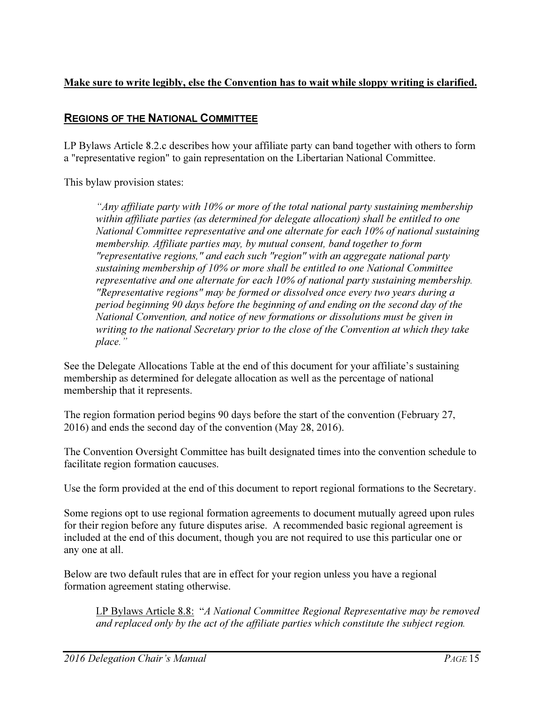# Make sure to write legibly, else the Convention has to wait while sloppy writing is clarified.

# REGIONS OF THE NATIONAL COMMITTEE

LP Bylaws Article 8.2.c describes how your affiliate party can band together with others to form a "representative region" to gain representation on the Libertarian National Committee.

This bylaw provision states:

*"Any affiliate party with 10% or more of the total national party sustaining membership within affiliate parties (as determined for delegate allocation) shall be entitled to one National Committee representative and one alternate for each 10% of national sustaining membership. Affiliate parties may, by mutual consent, band together to form "representative regions," and each such "region" with an aggregate national party sustaining membership of 10% or more shall be entitled to one National Committee representative and one alternate for each 10% of national party sustaining membership. "Representative regions" may be formed or dissolved once every two years during a period beginning 90 days before the beginning of and ending on the second day of the National Convention, and notice of new formations or dissolutions must be given in writing to the national Secretary prior to the close of the Convention at which they take place."* 

See the Delegate Allocations Table at the end of this document for your affiliate's sustaining membership as determined for delegate allocation as well as the percentage of national membership that it represents.

The region formation period begins 90 days before the start of the convention (February 27, 2016) and ends the second day of the convention (May 28, 2016).

The Convention Oversight Committee has built designated times into the convention schedule to facilitate region formation caucuses.

Use the form provided at the end of this document to report regional formations to the Secretary.

Some regions opt to use regional formation agreements to document mutually agreed upon rules for their region before any future disputes arise. A recommended basic regional agreement is included at the end of this document, though you are not required to use this particular one or any one at all.

Below are two default rules that are in effect for your region unless you have a regional formation agreement stating otherwise.

LP Bylaws Article 8.8: "*A National Committee Regional Representative may be removed and replaced only by the act of the affiliate parties which constitute the subject region.*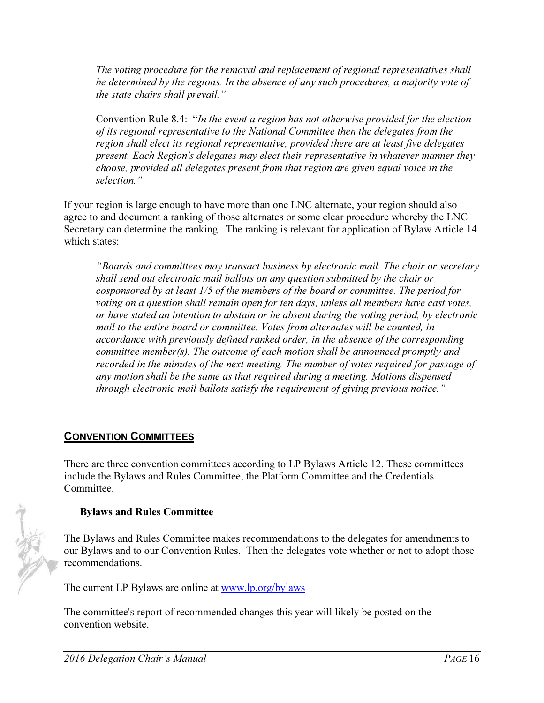*The voting procedure for the removal and replacement of regional representatives shall be determined by the regions. In the absence of any such procedures, a majority vote of the state chairs shall prevail."* 

Convention Rule 8.4: "*In the event a region has not otherwise provided for the election of its regional representative to the National Committee then the delegates from the region shall elect its regional representative, provided there are at least five delegates present. Each Region's delegates may elect their representative in whatever manner they choose, provided all delegates present from that region are given equal voice in the selection."*

If your region is large enough to have more than one LNC alternate, your region should also agree to and document a ranking of those alternates or some clear procedure whereby the LNC Secretary can determine the ranking. The ranking is relevant for application of Bylaw Article 14 which states:

*"Boards and committees may transact business by electronic mail. The chair or secretary shall send out electronic mail ballots on any question submitted by the chair or cosponsored by at least 1/5 of the members of the board or committee. The period for voting on a question shall remain open for ten days, unless all members have cast votes, or have stated an intention to abstain or be absent during the voting period, by electronic mail to the entire board or committee. Votes from alternates will be counted, in accordance with previously defined ranked order, in the absence of the corresponding committee member(s). The outcome of each motion shall be announced promptly and recorded in the minutes of the next meeting. The number of votes required for passage of any motion shall be the same as that required during a meeting. Motions dispensed through electronic mail ballots satisfy the requirement of giving previous notice."* 

# CONVENTION COMMITTEES

There are three convention committees according to LP Bylaws Article 12. These committees include the Bylaws and Rules Committee, the Platform Committee and the Credentials Committee.

# Bylaws and Rules Committee

The Bylaws and Rules Committee makes recommendations to the delegates for amendments to our Bylaws and to our Convention Rules. Then the delegates vote whether or not to adopt those recommendations.

The current LP Bylaws are online at www.lp.org/bylaws

The committee's report of recommended changes this year will likely be posted on the convention website.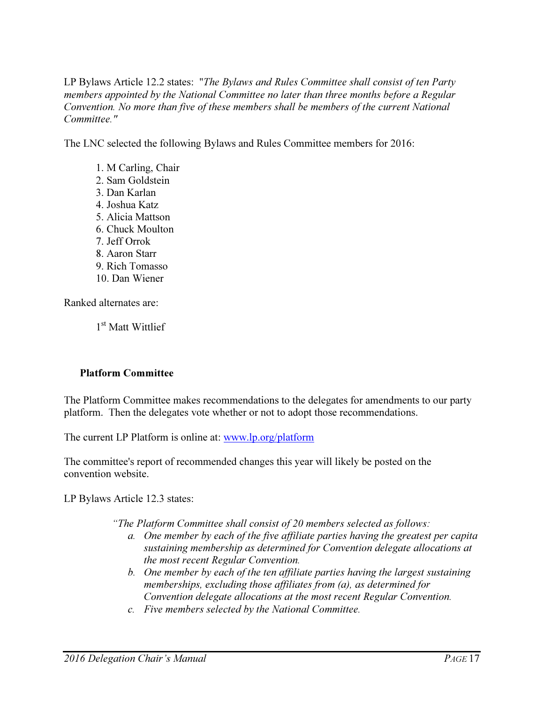LP Bylaws Article 12.2 states: "*The Bylaws and Rules Committee shall consist of ten Party members appointed by the National Committee no later than three months before a Regular Convention. No more than five of these members shall be members of the current National Committee."*

The LNC selected the following Bylaws and Rules Committee members for 2016:

1. M Carling, Chair 2. Sam Goldstein 3. Dan Karlan 4. Joshua Katz 5. Alicia Mattson 6. Chuck Moulton 7. Jeff Orrok 8. Aaron Starr 9. Rich Tomasso 10. Dan Wiener

Ranked alternates are:

1<sup>st</sup> Matt Wittlief

## Platform Committee

The Platform Committee makes recommendations to the delegates for amendments to our party platform. Then the delegates vote whether or not to adopt those recommendations.

The current LP Platform is online at: www.lp.org/platform

The committee's report of recommended changes this year will likely be posted on the convention website.

LP Bylaws Article 12.3 states:

*"The Platform Committee shall consist of 20 members selected as follows:* 

- *a. One member by each of the five affiliate parties having the greatest per capita sustaining membership as determined for Convention delegate allocations at the most recent Regular Convention.*
- *b. One member by each of the ten affiliate parties having the largest sustaining memberships, excluding those affiliates from (a), as determined for Convention delegate allocations at the most recent Regular Convention.*
- *c. Five members selected by the National Committee.*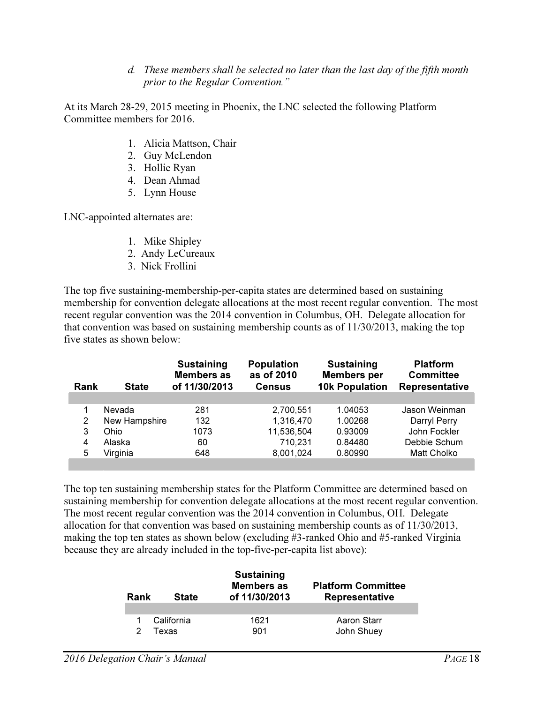*d. These members shall be selected no later than the last day of the fifth month prior to the Regular Convention."* 

At its March 28-29, 2015 meeting in Phoenix, the LNC selected the following Platform Committee members for 2016.

- 1. Alicia Mattson, Chair
- 2. Guy McLendon
- 3. Hollie Ryan
- 4. Dean Ahmad
- 5. Lynn House

LNC-appointed alternates are:

- 1. Mike Shipley
- 2. Andy LeCureaux
- 3. Nick Frollini

The top five sustaining-membership-per-capita states are determined based on sustaining membership for convention delegate allocations at the most recent regular convention. The most recent regular convention was the 2014 convention in Columbus, OH. Delegate allocation for that convention was based on sustaining membership counts as of 11/30/2013, making the top five states as shown below:

| Rank | <b>State</b>  | <b>Sustaining</b><br><b>Members as</b><br>of 11/30/2013 | <b>Population</b><br>as of 2010<br><b>Census</b> | <b>Sustaining</b><br><b>Members</b> per<br><b>10k Population</b> | <b>Platform</b><br><b>Committee</b><br><b>Representative</b> |
|------|---------------|---------------------------------------------------------|--------------------------------------------------|------------------------------------------------------------------|--------------------------------------------------------------|
|      |               |                                                         |                                                  |                                                                  |                                                              |
|      | Nevada        | 281                                                     | 2,700,551                                        | 1.04053                                                          | Jason Weinman                                                |
| 2    | New Hampshire | 132                                                     | 1,316,470                                        | 1.00268                                                          | Darryl Perry                                                 |
| 3    | Ohio          | 1073                                                    | 11,536,504                                       | 0.93009                                                          | John Fockler                                                 |
| 4    | Alaska        | 60                                                      | 710,231                                          | 0.84480                                                          | Debbie Schum                                                 |
| 5    | Virginia      | 648                                                     | 8,001,024                                        | 0.80990                                                          | <b>Matt Cholko</b>                                           |
|      |               |                                                         |                                                  |                                                                  |                                                              |

The top ten sustaining membership states for the Platform Committee are determined based on sustaining membership for convention delegate allocations at the most recent regular convention. The most recent regular convention was the 2014 convention in Columbus, OH. Delegate allocation for that convention was based on sustaining membership counts as of 11/30/2013, making the top ten states as shown below (excluding #3-ranked Ohio and #5-ranked Virginia because they are already included in the top-five-per-capita list above):

| Rank | <b>State</b> | <b>Sustaining</b><br><b>Members as</b><br>of 11/30/2013 | <b>Platform Committee</b><br><b>Representative</b> |
|------|--------------|---------------------------------------------------------|----------------------------------------------------|
|      | California   | 1621                                                    | Aaron Starr                                        |
|      | Texas        | 901                                                     | John Shuey                                         |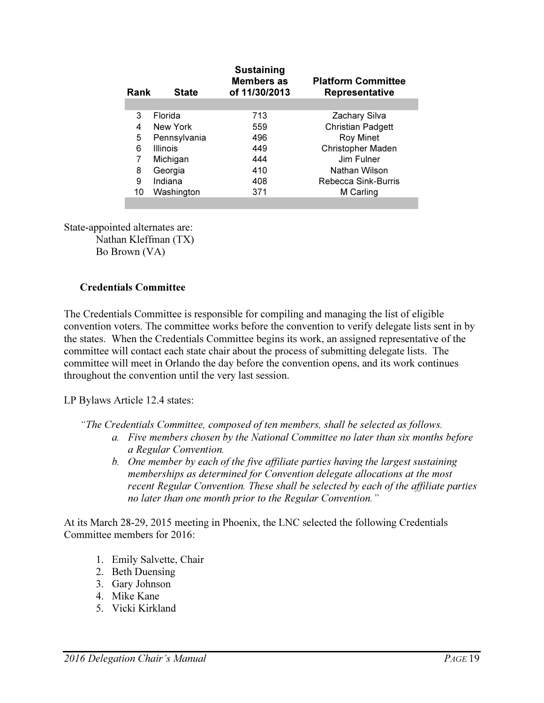| Rank | <b>State</b>    | <b>Sustaining</b><br><b>Members as</b><br>of 11/30/2013 | <b>Platform Committee</b><br><b>Representative</b> |
|------|-----------------|---------------------------------------------------------|----------------------------------------------------|
| 3    | Florida         | 713                                                     | Zachary Silva                                      |
| 4    | New York        | 559                                                     | <b>Christian Padgett</b>                           |
| 5    | Pennsylvania    | 496                                                     | <b>Roy Minet</b>                                   |
| 6    | <b>Illinois</b> | 449                                                     | Christopher Maden                                  |
|      | Michigan        | 444                                                     | Jim Fulner                                         |
| 8    | Georgia         | 410                                                     | Nathan Wilson                                      |
| 9    | Indiana         | 408                                                     | Rebecca Sink-Burris                                |
| 10   | Washington      | 371                                                     | M Carling                                          |
|      |                 |                                                         |                                                    |

State-appointed alternates are: Nathan Kleffman (TX) Bo Brown (VA)

#### Credentials Committee

The Credentials Committee is responsible for compiling and managing the list of eligible convention voters. The committee works before the convention to verify delegate lists sent in by the states. When the Credentials Committee begins its work, an assigned representative of the committee will contact each state chair about the process of submitting delegate lists. The committee will meet in Orlando the day before the convention opens, and its work continues throughout the convention until the very last session.

LP Bylaws Article 12.4 states:

*"The Credentials Committee, composed of ten members, shall be selected as follows.* 

- *a. Five members chosen by the National Committee no later than six months before a Regular Convention.*
- *b. One member by each of the five affiliate parties having the largest sustaining memberships as determined for Convention delegate allocations at the most recent Regular Convention. These shall be selected by each of the affiliate parties no later than one month prior to the Regular Convention."*

At its March 28-29, 2015 meeting in Phoenix, the LNC selected the following Credentials Committee members for 2016:

- 1. Emily Salvette, Chair
- 2. Beth Duensing
- 3. Gary Johnson
- 4. Mike Kane
- 5. Vicki Kirkland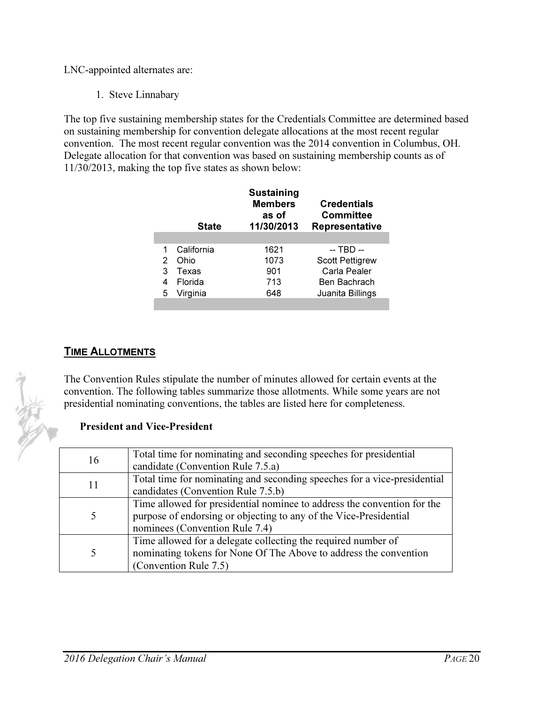LNC-appointed alternates are:

1. Steve Linnabary

The top five sustaining membership states for the Credentials Committee are determined based on sustaining membership for convention delegate allocations at the most recent regular convention. The most recent regular convention was the 2014 convention in Columbus, OH. Delegate allocation for that convention was based on sustaining membership counts as of 11/30/2013, making the top five states as shown below:

|                | <b>State</b> | <b>Sustaining</b><br><b>Members</b><br>as of<br>11/30/2013 | <b>Credentials</b><br><b>Committee</b><br><b>Representative</b> |
|----------------|--------------|------------------------------------------------------------|-----------------------------------------------------------------|
| $\overline{1}$ | California   | 1621                                                       | -- TBD --                                                       |
| 2              | Ohio         | 1073                                                       | <b>Scott Pettigrew</b>                                          |
| 3              | Texas        | 901                                                        | Carla Pealer                                                    |
| 4              | Florida      | 713                                                        | Ben Bachrach                                                    |
| 5              | Virginia     | 648                                                        | Juanita Billings                                                |
|                |              |                                                            |                                                                 |

# **TIME ALLOTMENTS**

The Convention Rules stipulate the number of minutes allowed for certain events at the convention. The following tables summarize those allotments. While some years are not presidential nominating conventions, the tables are listed here for completeness.

## President and Vice-President

| 16 | Total time for nominating and seconding speeches for presidential        |
|----|--------------------------------------------------------------------------|
|    | candidate (Convention Rule 7.5.a)                                        |
|    | Total time for nominating and seconding speeches for a vice-presidential |
| 11 | candidates (Convention Rule 7.5.b)                                       |
|    | Time allowed for presidential nominee to address the convention for the  |
|    | purpose of endorsing or objecting to any of the Vice-Presidential        |
|    | nominees (Convention Rule 7.4)                                           |
|    | Time allowed for a delegate collecting the required number of            |
|    | nominating tokens for None Of The Above to address the convention        |
|    | (Convention Rule 7.5)                                                    |

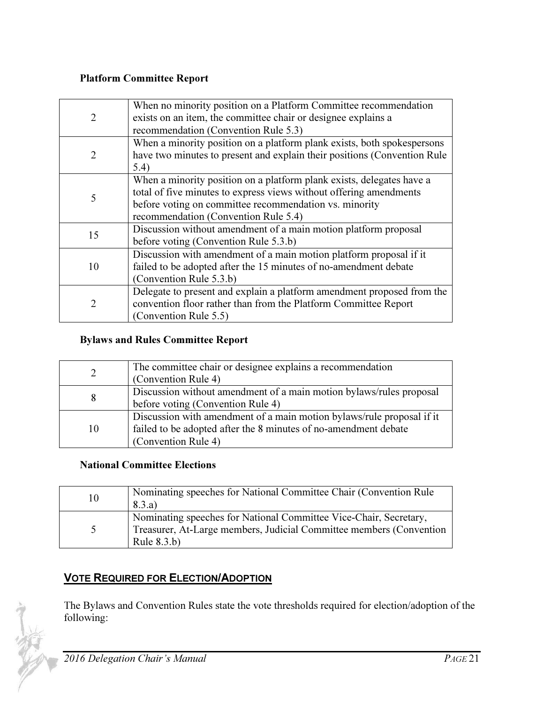#### Platform Committee Report

| $\overline{2}$ | When no minority position on a Platform Committee recommendation<br>exists on an item, the committee chair or designee explains a<br>recommendation (Convention Rule 5.3)                                                                     |
|----------------|-----------------------------------------------------------------------------------------------------------------------------------------------------------------------------------------------------------------------------------------------|
| $\overline{2}$ | When a minority position on a platform plank exists, both spokespersons<br>have two minutes to present and explain their positions (Convention Rule<br>5.4)                                                                                   |
| 5              | When a minority position on a platform plank exists, delegates have a<br>total of five minutes to express views without offering amendments<br>before voting on committee recommendation vs. minority<br>recommendation (Convention Rule 5.4) |
| 15             | Discussion without amendment of a main motion platform proposal<br>before voting (Convention Rule 5.3.b)                                                                                                                                      |
| 10             | Discussion with amendment of a main motion platform proposal if it<br>failed to be adopted after the 15 minutes of no-amendment debate<br>(Convention Rule 5.3.b)                                                                             |
| $\overline{2}$ | Delegate to present and explain a platform amendment proposed from the<br>convention floor rather than from the Platform Committee Report<br>(Convention Rule 5.5)                                                                            |

## Bylaws and Rules Committee Report

| 2  | The committee chair or designee explains a recommendation             |
|----|-----------------------------------------------------------------------|
|    | (Convention Rule 4)                                                   |
|    | Discussion without amendment of a main motion bylaws/rules proposal   |
| 8  | before voting (Convention Rule 4)                                     |
|    | Discussion with amendment of a main motion bylaws/rule proposal if it |
| 10 | failed to be adopted after the 8 minutes of no-amendment debate       |
|    | (Convention Rule 4)                                                   |

## National Committee Elections

| 10 | Nominating speeches for National Committee Chair (Convention Rule)<br>8.3.a)                                                                               |
|----|------------------------------------------------------------------------------------------------------------------------------------------------------------|
| 5  | Nominating speeches for National Committee Vice-Chair, Secretary,<br>Treasurer, At-Large members, Judicial Committee members (Convention<br>Rule $8.3.b$ ) |

# VOTE REQUIRED FOR ELECTION/ADOPTION

The Bylaws and Convention Rules state the vote thresholds required for election/adoption of the following:

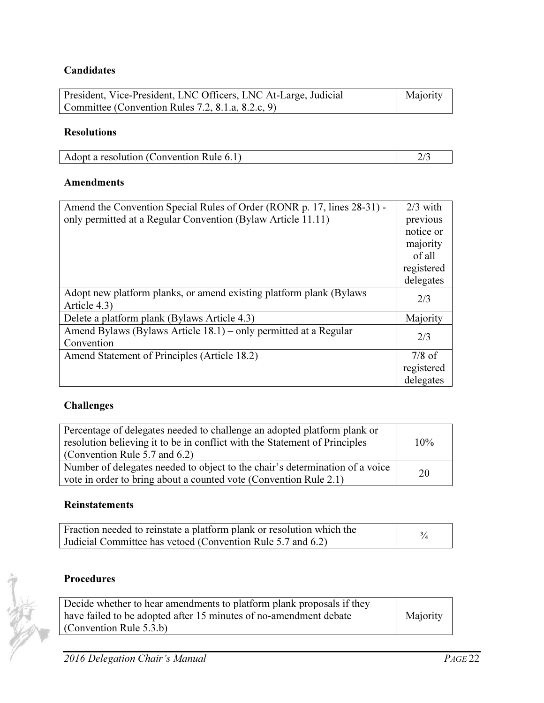# **Candidates**

| President, Vice-President, LNC Officers, LNC At-Large, Judicial | Majority |
|-----------------------------------------------------------------|----------|
| Committee (Convention Rules 7.2, 8.1.a, 8.2.c, 9)               |          |

# Resolutions

| Adopt a resolution (Convention Rule 6.1) |  |
|------------------------------------------|--|

## Amendments

| Amend the Convention Special Rules of Order (RONR p. 17, lines 28-31) - | $2/3$ with |
|-------------------------------------------------------------------------|------------|
| only permitted at a Regular Convention (Bylaw Article 11.11)            | previous   |
|                                                                         | notice or  |
|                                                                         | majority   |
|                                                                         | of all     |
|                                                                         | registered |
|                                                                         | delegates  |
| Adopt new platform planks, or amend existing platform plank (Bylaws)    | 2/3        |
| Article 4.3)                                                            |            |
| Delete a platform plank (Bylaws Article 4.3)                            | Majority   |
| Amend Bylaws (Bylaws Article 18.1) – only permitted at a Regular        | 2/3        |
| Convention                                                              |            |
| Amend Statement of Principles (Article 18.2)                            | $7/8$ of   |
|                                                                         | registered |
|                                                                         | delegates  |

# Challenges

| Percentage of delegates needed to challenge an adopted platform plank or<br>resolution believing it to be in conflict with the Statement of Principles<br>(Convention Rule 5.7 and 6.2) | 10% |
|-----------------------------------------------------------------------------------------------------------------------------------------------------------------------------------------|-----|
| Number of delegates needed to object to the chair's determination of a voice<br>vote in order to bring about a counted vote (Convention Rule 2.1)                                       | 20  |

#### Reinstatements

| Fraction needed to reinstate a platform plank or resolution which the |  |
|-----------------------------------------------------------------------|--|
| Judicial Committee has vetoed (Convention Rule 5.7 and 6.2)           |  |

# Procedures

10

| Decide whether to hear amendments to platform plank proposals if they |          |
|-----------------------------------------------------------------------|----------|
| have failed to be adopted after 15 minutes of no-amendment debate     | Majority |
| (Convention Rule $5.3.b$ )                                            |          |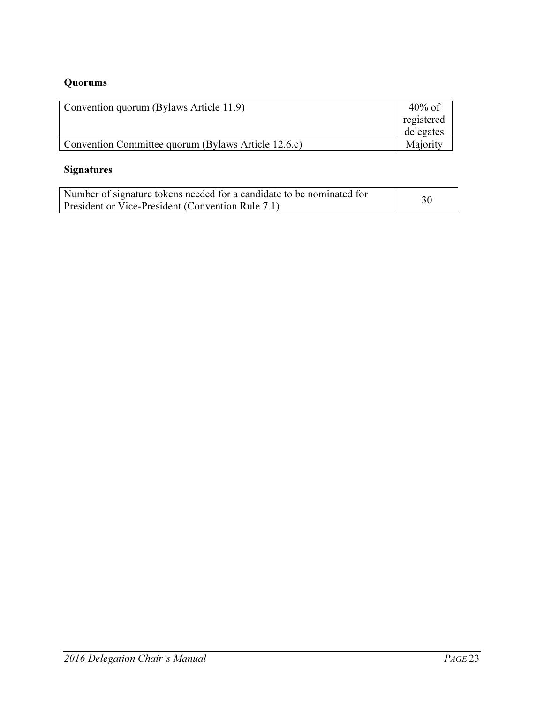# Quorums

| Convention quorum (Bylaws Article 11.9)             | $40\%$ of  |
|-----------------------------------------------------|------------|
|                                                     | registered |
|                                                     | delegates  |
| Convention Committee quorum (Bylaws Article 12.6.c) | Majority   |

# Signatures

| Number of signature tokens needed for a candidate to be nominated for | 30 |
|-----------------------------------------------------------------------|----|
| President or Vice-President (Convention Rule 7.1)                     |    |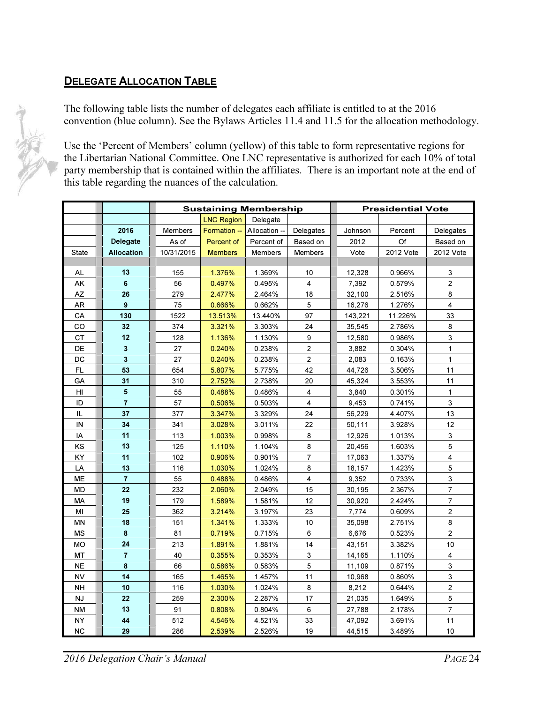# **DELEGATE ALLOCATION TABLE**

The following table lists the number of delegates each affiliate is entitled to at the 2016 convention (blue column). See the Bylaws Articles 11.4 and 11.5 for the allocation methodology.

Use the 'Percent of Members' column (yellow) of this table to form representative regions for the Libertarian National Committee. One LNC representative is authorized for each 10% of total party membership that is contained within the affiliates. There is an important note at the end of this table regarding the nuances of the calculation.

|                        |                         | <b>Sustaining Membership</b> |                   |                |                | <b>Presidential Vote</b> |           |                           |
|------------------------|-------------------------|------------------------------|-------------------|----------------|----------------|--------------------------|-----------|---------------------------|
|                        |                         |                              | <b>LNC Region</b> | Delegate       |                |                          |           |                           |
|                        | 2016                    | Members                      | Formation --      | Allocation --  | Delegates      | Johnson                  | Percent   | Delegates                 |
|                        | Delegate                | As of                        | Percent of        | Percent of     | Based on       | 2012                     | Of        | Based on                  |
| <b>State</b>           | <b>Allocation</b>       | 10/31/2015                   | <b>Members</b>    | <b>Members</b> | <b>Members</b> | Vote                     | 2012 Vote | 2012 Vote                 |
|                        |                         |                              |                   |                |                |                          |           |                           |
| AL.                    | 13                      | 155                          | 1.376%            | 1.369%         | 10             | 12,328                   | 0.966%    | 3                         |
| AK                     | 6                       | 56                           | 0.497%            | 0.495%         | 4              | 7,392                    | 0.579%    | $\overline{2}$            |
| AZ                     | 26                      | 279                          | 2.477%            | 2.464%         | 18             | 32,100                   | 2.516%    | 8                         |
| AR                     | 9                       | 75                           | 0.666%            | 0.662%         | 5              | 16,276                   | 1.276%    | 4                         |
| CA                     | 130                     | 1522                         | 13.513%           | 13.440%        | 97             | 143,221                  | 11.226%   | 33                        |
| CO                     | 32                      | 374                          | 3.321%            | 3.303%         | 24             | 35,545                   | 2.786%    | 8                         |
| <b>CT</b>              | 12                      | 128                          | 1.136%            | 1.130%         | 9              | 12,580                   | 0.986%    | $\mathsf 3$               |
| DE                     | 3                       | 27                           | 0.240%            | 0.238%         | $\mathbf{2}$   | 3,882                    | 0.304%    | $\mathbf{1}$              |
| DC                     | $\overline{\mathbf{3}}$ | 27                           | 0.240%            | 0.238%         | $\overline{2}$ | 2,083                    | 0.163%    | $\mathbf{1}$              |
| FL.                    | 53                      | 654                          | 5.807%            | 5.775%         | 42             | 44,726                   | 3.506%    | 11                        |
| GA                     | 31                      | 310                          | 2.752%            | 2.738%         | 20             | 45,324                   | 3.553%    | 11                        |
| HI                     | $\overline{\mathbf{5}}$ | 55                           | 0.488%            | 0.486%         | $\overline{4}$ | 3,840                    | 0.301%    | $\mathbf{1}$              |
| ID                     | $\overline{7}$          | 57                           | 0.506%            | 0.503%         | 4              | 9,453                    | 0.741%    | $\mathbf{3}$              |
| IL                     | 37                      | 377                          | 3.347%            | 3.329%         | 24             | 56,229                   | 4.407%    | 13                        |
| IN                     | 34                      | 341                          | 3.028%            | 3.011%         | 22             | 50,111                   | 3.928%    | 12                        |
| IA                     | 11                      | 113                          | 1.003%            | 0.998%         | 8              | 12,926                   | 1.013%    | 3                         |
| KS                     | 13                      | 125                          | 1.110%            | 1.104%         | 8              | 20,456                   | 1.603%    | $\sqrt{5}$                |
| KY                     | 11                      | 102                          | 0.906%            | 0.901%         | $\overline{7}$ | 17,063                   | 1.337%    | $\overline{\mathbf{4}}$   |
| LA                     | 13                      | 116                          | 1.030%            | 1.024%         | 8              | 18,157                   | 1.423%    | $\sqrt{5}$                |
| <b>ME</b>              | $\overline{7}$          | 55                           | 0.488%            | 0.486%         | 4              | 9,352                    | 0.733%    | 3                         |
| MD                     | 22                      | 232                          | 2.060%            | 2.049%         | 15             | 30,195                   | 2.367%    | $\overline{7}$            |
| <b>MA</b>              | 19                      | 179                          | 1.589%            | 1.581%         | 12             | 30,920                   | 2.424%    | $\overline{7}$            |
| MI                     | 25                      | 362                          | 3.214%            | 3.197%         | 23             | 7,774                    | 0.609%    | $\overline{c}$            |
| ΜN                     | 18                      | 151                          | 1.341%            | 1.333%         | 10             | 35,098                   | 2.751%    | 8                         |
| <b>MS</b>              | 8                       | 81                           | 0.719%            | 0.715%         | 6              | 6,676                    | 0.523%    | $\overline{c}$            |
| <b>MO</b>              | 24                      | 213                          | 1.891%            | 1.881%         | 14             | 43,151                   | 3.382%    | 10                        |
| MT                     | $\overline{7}$          | 40                           | 0.355%            | 0.353%         | 3              | 14,165                   | 1.110%    | 4                         |
| <b>NE</b>              | $\pmb{8}$               | 66                           | 0.586%            | 0.583%         | 5              | 11,109                   | 0.871%    | $\ensuremath{\mathsf{3}}$ |
| <b>NV</b>              | 14                      | 165                          | 1.465%            | 1.457%         | 11             | 10,968                   | 0.860%    | $\mathsf 3$               |
| NΗ                     | 10                      | 116                          | 1.030%            | 1.024%         | 8              | 8,212                    | 0.644%    | $\mathbf 2$               |
| $\mathsf{N}\mathsf{J}$ | 22                      | 259                          | 2.300%            | 2.287%         | 17             | 21,035                   | 1.649%    | $\overline{5}$            |
| <b>NM</b>              | 13                      | 91                           | 0.808%            | 0.804%         | 6              | 27,788                   | 2.178%    | $\overline{\mathcal{I}}$  |
| NY                     | 44                      | 512                          | 4.546%            | 4.521%         | 33             | 47,092                   | 3.691%    | 11                        |
| <b>NC</b>              | 29                      | 286                          | 2.539%            | 2.526%         | 19             | 44,515                   | 3.489%    | 10                        |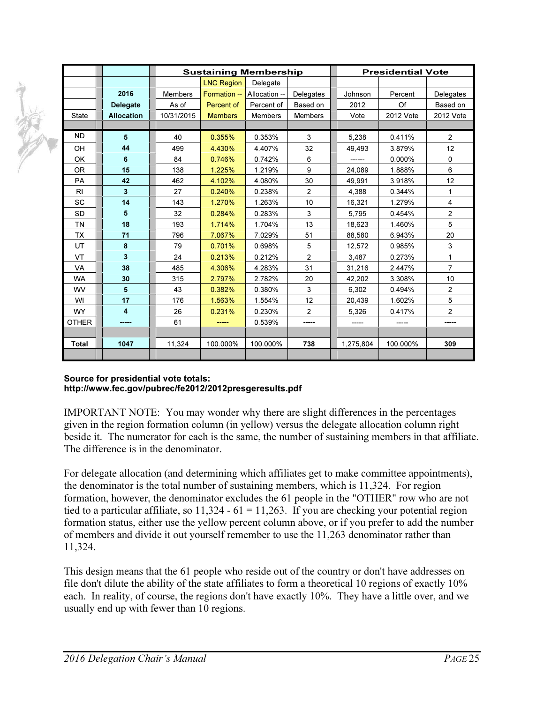|                |                   | <b>Sustaining Membership</b> |                   |                |                | <b>Presidential Vote</b> |           |                |
|----------------|-------------------|------------------------------|-------------------|----------------|----------------|--------------------------|-----------|----------------|
|                |                   |                              | <b>LNC Region</b> | Delegate       |                |                          |           |                |
|                | 2016              | <b>Members</b>               | Formation --      | Allocation --  | Delegates      | Johnson                  | Percent   | Delegates      |
|                | Delegate          | As of                        | Percent of        | Percent of     | Based on       | 2012                     | Of        | Based on       |
| <b>State</b>   | <b>Allocation</b> | 10/31/2015                   | <b>Members</b>    | <b>Members</b> | <b>Members</b> | Vote                     | 2012 Vote | 2012 Vote      |
|                |                   |                              |                   |                |                |                          |           |                |
| <b>ND</b>      | 5                 | 40                           | 0.355%            | 0.353%         | 3              | 5.238                    | 0.411%    | 2              |
| OH             | 44                | 499                          | 4.430%            | 4.407%         | 32             | 49,493                   | 3.879%    | 12             |
| OK             | 6                 | 84                           | 0.746%            | 0.742%         | 6              | ------                   | $0.000\%$ | 0              |
| <b>OR</b>      | 15                | 138                          | 1.225%            | 1.219%         | 9              | 24,089                   | 1.888%    | 6              |
| <b>PA</b>      | 42                | 462                          | 4.102%            | 4.080%         | 30             | 49,991                   | 3.918%    | 12             |
| R <sub>l</sub> | 3                 | 27                           | 0.240%            | 0.238%         | $\overline{2}$ | 4,388                    | 0.344%    | 1              |
| SC             | 14                | 143                          | 1.270%            | 1.263%         | 10             | 16,321                   | 1.279%    | 4              |
| <b>SD</b>      | 5                 | 32                           | 0.284%            | 0.283%         | 3              | 5,795                    | 0.454%    | $\overline{c}$ |
| <b>TN</b>      | 18                | 193                          | 1.714%            | 1.704%         | 13             | 18,623                   | 1.460%    | 5              |
| TX             | 71                | 796                          | 7.067%            | 7.029%         | 51             | 88,580                   | 6.943%    | 20             |
| UT             | 8                 | 79                           | 0.701%            | 0.698%         | 5              | 12.572                   | 0.985%    | 3              |
| <b>VT</b>      | 3                 | 24                           | 0.213%            | 0.212%         | $\overline{2}$ | 3,487                    | 0.273%    | $\mathbf{1}$   |
| <b>VA</b>      | 38                | 485                          | 4.306%            | 4.283%         | 31             | 31,216                   | 2.447%    | $\overline{7}$ |
| <b>WA</b>      | 30                | 315                          | 2.797%            | 2.782%         | 20             | 42,202                   | 3.308%    | 10             |
| <b>WV</b>      | 5                 | 43                           | 0.382%            | 0.380%         | 3              | 6,302                    | 0.494%    | $\overline{2}$ |
| WI             | 17                | 176                          | 1.563%            | 1.554%         | 12             | 20,439                   | 1.602%    | 5              |
| <b>WY</b>      | 4                 | 26                           | 0.231%            | 0.230%         | $\overline{2}$ | 5,326                    | 0.417%    | $\overline{2}$ |
| <b>OTHER</b>   | -----             | 61                           | -----             | 0.539%         | -----          | -----                    | -----     | -----          |
|                |                   |                              |                   |                |                |                          |           |                |
| <b>Total</b>   | 1047              | 11,324                       | 100.000%          | 100.000%       | 738            | 1,275,804                | 100.000%  | 309            |
|                |                   |                              |                   |                |                |                          |           |                |

#### Source for presidential vote totals: http://www.fec.gov/pubrec/fe2012/2012presgeresults.pdf

 $\widetilde{\mathscr{L}}$ 

IMPORTANT NOTE: You may wonder why there are slight differences in the percentages given in the region formation column (in yellow) versus the delegate allocation column right beside it. The numerator for each is the same, the number of sustaining members in that affiliate. The difference is in the denominator.

For delegate allocation (and determining which affiliates get to make committee appointments), the denominator is the total number of sustaining members, which is 11,324. For region formation, however, the denominator excludes the 61 people in the "OTHER" row who are not tied to a particular affiliate, so  $11,324 - 61 = 11,263$ . If you are checking your potential region formation status, either use the yellow percent column above, or if you prefer to add the number of members and divide it out yourself remember to use the 11,263 denominator rather than 11,324.

This design means that the 61 people who reside out of the country or don't have addresses on file don't dilute the ability of the state affiliates to form a theoretical 10 regions of exactly 10% each. In reality, of course, the regions don't have exactly 10%. They have a little over, and we usually end up with fewer than 10 regions.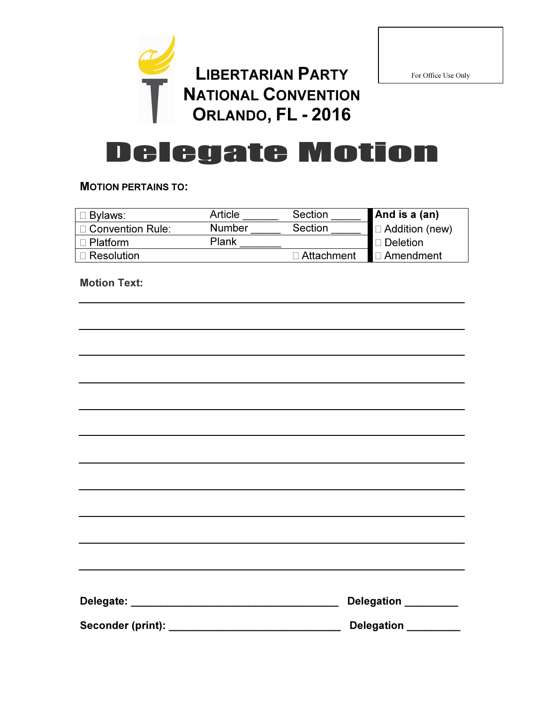

For Office Use Only

# Delegate Motion

#### MOTION PERTAINS TO:

| Bylaws:                 | Article       | Section    | And is a $(an)$ |
|-------------------------|---------------|------------|-----------------|
| <b>Convention Rule:</b> | <b>Number</b> | Section    | Addition (new)  |
| Platform                | Plank         |            | <b>Deletion</b> |
| Resolution              |               | Attachment | Amendment       |

Motion Text:

|                                                                                                                                                 | ,我们也不能会在这里,我们的人们都会不能会在这里,我们也不能会不能会不能会不能会不能会不能会不能会。""我们的人们就会不能会不能会不能会不能会不能会不能会不能会 |
|-------------------------------------------------------------------------------------------------------------------------------------------------|----------------------------------------------------------------------------------|
|                                                                                                                                                 |                                                                                  |
| ,我们也不会有什么。""我们的人,我们也不会有什么?""我们的人,我们也不会有什么?""我们的人,我们也不会有什么?""我们的人,我们也不会有什么?""我们的人                                                                |                                                                                  |
|                                                                                                                                                 |                                                                                  |
|                                                                                                                                                 |                                                                                  |
|                                                                                                                                                 |                                                                                  |
| ,我们也不能在这里的时候,我们也不能在这里的时候,我们也不能不能不能不能不能不能不能不能不能不能不能不能不能不能不能。<br>第2012章 我们的时候,我们的时候,我们的时候,我们的时候,我们的时候,我们的时候,我们的时候,我们的时候,我们的时候,我们的时候,我们的时候,我们的时候,我 |                                                                                  |
|                                                                                                                                                 |                                                                                  |
|                                                                                                                                                 |                                                                                  |
|                                                                                                                                                 |                                                                                  |
|                                                                                                                                                 | Delegation ________                                                              |
| Seconder (print):                                                                                                                               | <b>Delegation</b>                                                                |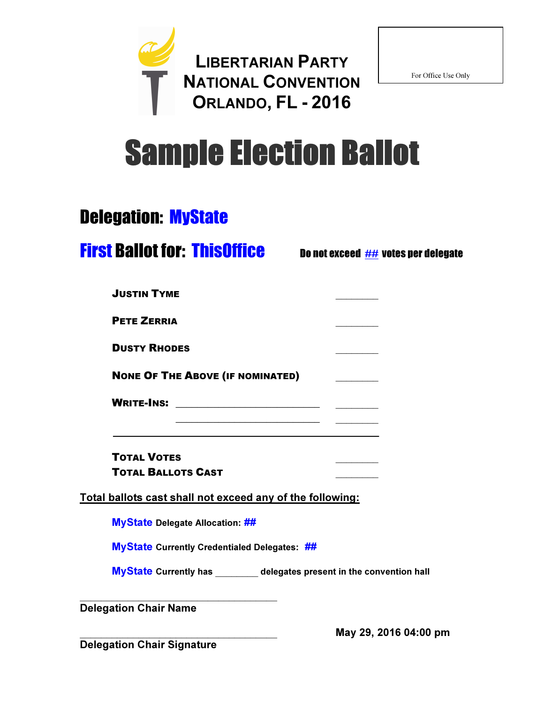

For Office Use Only

# Sample Election Ballot

# Delegation: MyState

# **First Ballot for: ThisOffice** Do not exceed ## votes per delegate

| <b>PETE ZERRIA</b><br><b>DUSTY RHODES</b><br><b>NONE OF THE ABOVE (IF NOMINATED)</b> |  |
|--------------------------------------------------------------------------------------|--|
|                                                                                      |  |
|                                                                                      |  |
|                                                                                      |  |
| <b>WRITE-INS:</b>                                                                    |  |

TOTAL VOTES \_\_\_\_\_\_\_\_ TOTAL BALLOTS CAST \_\_\_\_\_\_\_\_

Total ballots cast shall not exceed any of the following:

MyState Delegate Allocation: ##

MyState Currently Credentialed Delegates: ##

MyState Currently has delegates present in the convention hall

\_\_\_\_\_\_\_\_\_\_\_\_\_\_\_\_\_\_\_\_\_\_\_\_\_\_\_\_\_\_\_\_\_\_\_\_\_ Delegation Chair Name

\_\_\_\_\_\_\_\_\_\_\_\_\_\_\_\_\_\_\_\_\_\_\_\_\_\_\_\_\_\_\_\_\_\_\_\_\_ May 29, 2016 04:00 pm

Delegation Chair Signature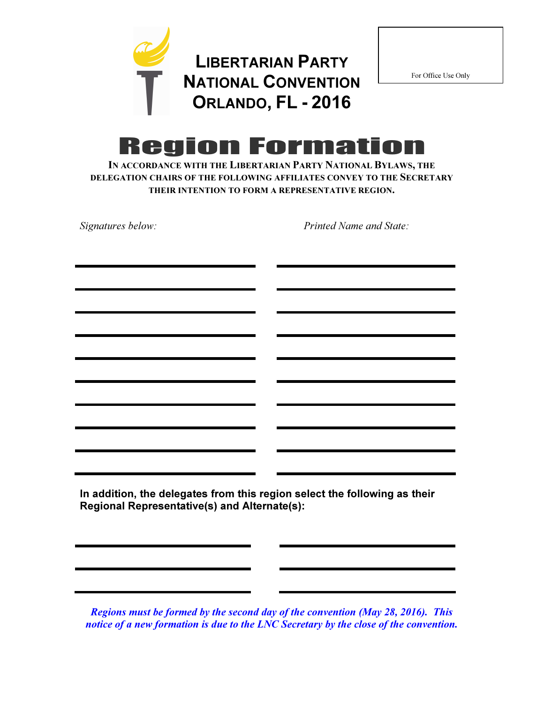

For Office Use Only

# **Region Formation**

IN ACCORDANCE WITH THE LIBERTARIAN PARTY NATIONAL BYLAWS, THE DELEGATION CHAIRS OF THE FOLLOWING AFFILIATES CONVEY TO THE SECRETARY THEIR INTENTION TO FORM A REPRESENTATIVE REGION.

| Signatures below:                                                                                                    | Printed Name and State:                                                   |
|----------------------------------------------------------------------------------------------------------------------|---------------------------------------------------------------------------|
|                                                                                                                      |                                                                           |
| <u> 1989 - Johann Stoff, deutscher Stoff, der Stoff, deutscher Stoff, der Stoff, der Stoff, der Stoff, der Stoff</u> |                                                                           |
|                                                                                                                      |                                                                           |
|                                                                                                                      |                                                                           |
|                                                                                                                      |                                                                           |
|                                                                                                                      |                                                                           |
|                                                                                                                      |                                                                           |
|                                                                                                                      |                                                                           |
|                                                                                                                      |                                                                           |
|                                                                                                                      | In addition, the delegates from this region select the following as their |

Regional Representative(s) and Alternate(s):

Regions must be formed by the second day of the convention (May 28, 2016). This notice of a new formation is due to the LNC Secretary by the close of the convention.